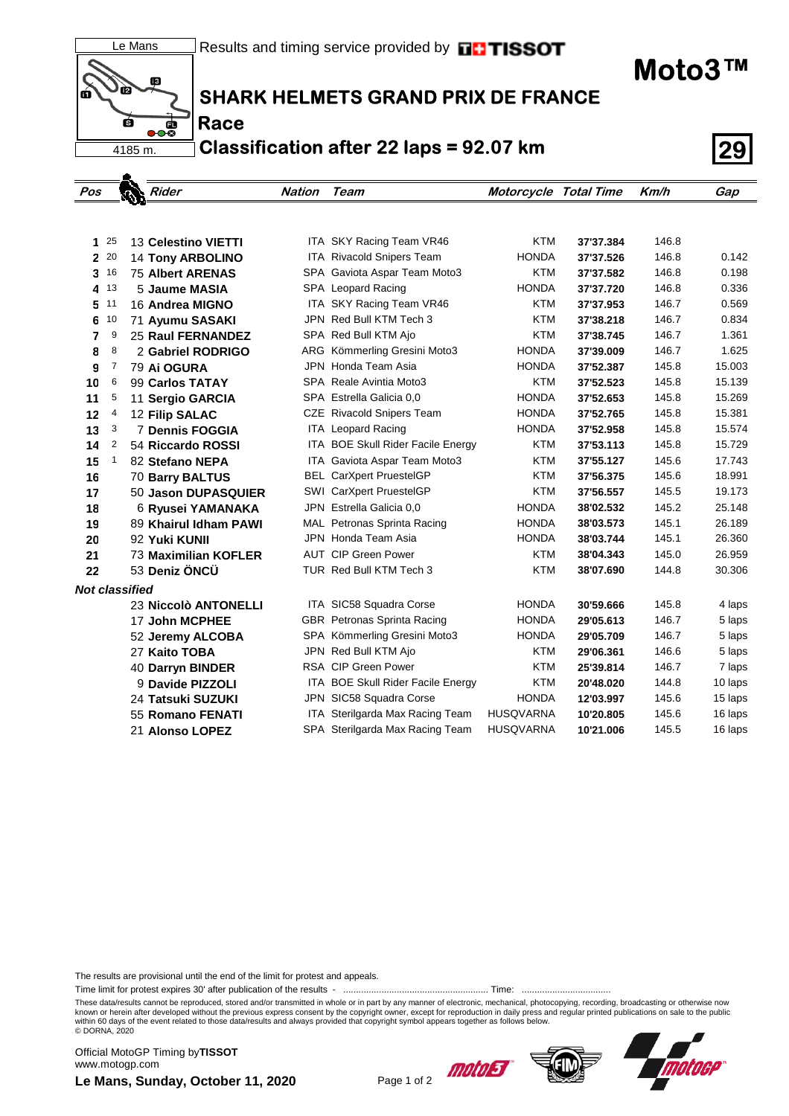Le Mans ñ2 Ś के<br>१० 4185 m.

 $\bullet$ 

**Race**

**SHARK HELMETS GRAND PRIX DE FRANCE**

**Classification after 22 laps = 92.07 km 29**

| Pos                   |      | Z | Rider                    | <b>Nation</b> | <b>Team</b>                        | Motorcycle Total Time |           | Km/h  | Gap     |
|-----------------------|------|---|--------------------------|---------------|------------------------------------|-----------------------|-----------|-------|---------|
|                       |      |   |                          |               |                                    |                       |           |       |         |
|                       |      |   |                          |               |                                    |                       |           |       |         |
| $\mathbf{1}$          | 25   |   | 13 Celestino VIETTI      |               | ITA SKY Racing Team VR46           | <b>KTM</b>            | 37'37.384 | 146.8 |         |
|                       | 2 20 |   | <b>14 Tony ARBOLINO</b>  |               | ITA Rivacold Snipers Team          | <b>HONDA</b>          | 37'37.526 | 146.8 | 0.142   |
| 3                     | 16   |   | <b>75 Albert ARENAS</b>  |               | SPA Gaviota Aspar Team Moto3       | <b>KTM</b>            | 37'37.582 | 146.8 | 0.198   |
| 4                     | 13   |   | 5 Jaume MASIA            |               | SPA Leopard Racing                 | <b>HONDA</b>          | 37'37.720 | 146.8 | 0.336   |
| 5                     | 11   |   | 16 Andrea MIGNO          |               | ITA SKY Racing Team VR46           | <b>KTM</b>            | 37'37.953 | 146.7 | 0.569   |
| 6                     | 10   |   | 71 Ayumu SASAKI          |               | JPN Red Bull KTM Tech 3            | <b>KTM</b>            | 37'38.218 | 146.7 | 0.834   |
| 7                     | 9    |   | <b>25 Raul FERNANDEZ</b> |               | SPA Red Bull KTM Ajo               | <b>KTM</b>            | 37'38.745 | 146.7 | 1.361   |
| 8                     | 8    |   | 2 Gabriel RODRIGO        |               | ARG Kömmerling Gresini Moto3       | <b>HONDA</b>          | 37'39.009 | 146.7 | 1.625   |
| 9                     | 7    |   | 79 Ai OGURA              |               | JPN Honda Team Asia                | <b>HONDA</b>          | 37'52.387 | 145.8 | 15.003  |
| 10                    | 6    |   | 99 Carlos TATAY          |               | SPA Reale Avintia Moto3            | <b>KTM</b>            | 37'52.523 | 145.8 | 15.139  |
| 11                    | 5    |   | 11 Sergio GARCIA         |               | SPA Estrella Galicia 0,0           | <b>HONDA</b>          | 37'52.653 | 145.8 | 15.269  |
| 12                    | 4    |   | 12 Filip SALAC           |               | CZE Rivacold Snipers Team          | <b>HONDA</b>          | 37'52.765 | 145.8 | 15.381  |
| 13                    | 3    |   | <b>7 Dennis FOGGIA</b>   |               | <b>ITA</b> Leopard Racing          | <b>HONDA</b>          | 37'52.958 | 145.8 | 15.574  |
| 14                    | 2    |   | 54 Riccardo ROSSI        |               | ITA BOE Skull Rider Facile Energy  | <b>KTM</b>            | 37'53.113 | 145.8 | 15.729  |
| 15                    | 1    |   | 82 Stefano NEPA          |               | ITA Gaviota Aspar Team Moto3       | <b>KTM</b>            | 37'55.127 | 145.6 | 17.743  |
| 16                    |      |   | 70 Barry BALTUS          |               | <b>BEL CarXpert PruestelGP</b>     | <b>KTM</b>            | 37'56.375 | 145.6 | 18.991  |
| 17                    |      |   | 50 Jason DUPASQUIER      |               | SWI CarXpert PruestelGP            | <b>KTM</b>            | 37'56.557 | 145.5 | 19.173  |
| 18                    |      |   | 6 Ryusei YAMANAKA        |               | JPN Estrella Galicia 0.0           | <b>HONDA</b>          | 38'02.532 | 145.2 | 25.148  |
| 19                    |      |   | 89 Khairul Idham PAWI    |               | MAL Petronas Sprinta Racing        | <b>HONDA</b>          | 38'03.573 | 145.1 | 26.189  |
| 20                    |      |   | 92 Yuki KUNII            |               | JPN Honda Team Asia                | <b>HONDA</b>          | 38'03.744 | 145.1 | 26.360  |
| 21                    |      |   | 73 Maximilian KOFLER     |               | <b>AUT CIP Green Power</b>         | <b>KTM</b>            | 38'04.343 | 145.0 | 26.959  |
| 22                    |      |   | 53 Deniz ÖNCÜ            |               | TUR Red Bull KTM Tech 3            | <b>KTM</b>            | 38'07.690 | 144.8 | 30.306  |
| <b>Not classified</b> |      |   |                          |               |                                    |                       |           |       |         |
|                       |      |   | 23 Niccolò ANTONELLI     |               | ITA SIC58 Squadra Corse            | <b>HONDA</b>          | 30'59.666 | 145.8 | 4 laps  |
|                       |      |   | <b>17 John MCPHEE</b>    |               | <b>GBR</b> Petronas Sprinta Racing | <b>HONDA</b>          | 29'05.613 | 146.7 | 5 laps  |
|                       |      |   | 52 Jeremy ALCOBA         |               | SPA Kömmerling Gresini Moto3       | <b>HONDA</b>          | 29'05.709 | 146.7 | 5 laps  |
|                       |      |   | 27 Kaito TOBA            |               | JPN Red Bull KTM Ajo               | <b>KTM</b>            | 29'06.361 | 146.6 | 5 laps  |
|                       |      |   | 40 Darryn BINDER         |               | <b>RSA CIP Green Power</b>         | <b>KTM</b>            | 25'39.814 | 146.7 | 7 laps  |
|                       |      |   | 9 Davide PIZZOLI         |               | ITA BOE Skull Rider Facile Energy  | <b>KTM</b>            | 20'48.020 | 144.8 | 10 laps |
|                       |      |   | 24 Tatsuki SUZUKI        |               | JPN SIC58 Squadra Corse            | <b>HONDA</b>          | 12'03.997 | 145.6 | 15 laps |
|                       |      |   | 55 Romano FENATI         |               | ITA Sterilgarda Max Racing Team    | <b>HUSQVARNA</b>      | 10'20.805 | 145.6 | 16 laps |
|                       |      |   | 21 Alonso LOPEZ          |               | SPA Sterilgarda Max Racing Team    | <b>HUSQVARNA</b>      | 10'21.006 | 145.5 | 16 laps |

The results are provisional until the end of the limit for protest and appeals.

Time limit for protest expires 30' after publication of the results - ......................................................... Time: ...................................

These data/results cannot be reproduced, stored and/or transmitted in whole or in part by any manner of electronic, mechanical, photocopying, recording, broadcasting or otherwise now<br>known or herein after developed without within 60 days of the event related to those data/results and always provided that copyright symbol appears together as follows below. © DORNA, 2020

**Le Mans, Sunday, October 11, 2020** Page 1 of 2 Official MotoGP Timing by **TISSOT**www.motogp.com